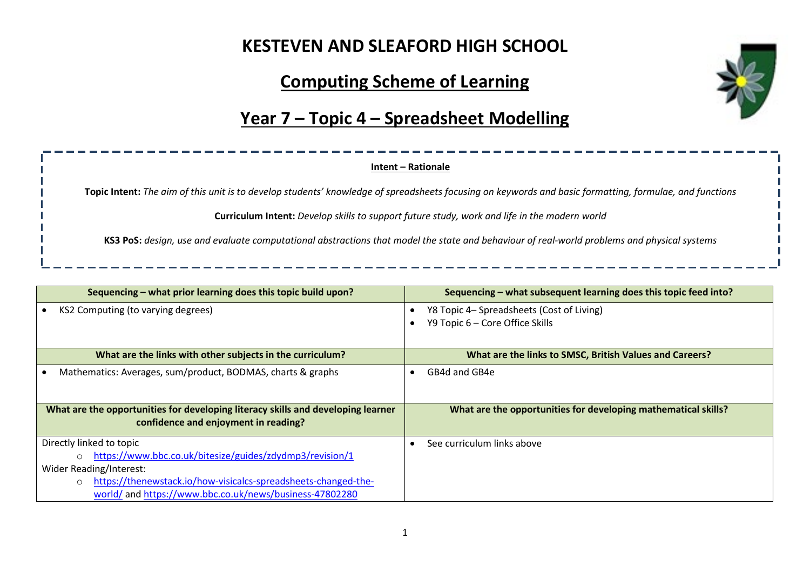# **KESTEVEN AND SLEAFORD HIGH SCHOOL**

## **Computing Scheme of Learning**



#### **Year 7 – Topic 4 – Spreadsheet Modelling**

#### **Intent – Rationale**

**Topic Intent:** *The aim of this unit is to develop students' knowledge of spreadsheets focusing on keywords and basic formatting, formulae, and functions*

**Curriculum Intent:** *Develop skills to support future study, work and life in the modern world*

**KS3 PoS:** *design, use and evaluate computational abstractions that model the state and behaviour of real-world problems and physical systems*

| Sequencing – what prior learning does this topic build upon?                                                             | Sequencing – what subsequent learning does this topic feed into?             |  |
|--------------------------------------------------------------------------------------------------------------------------|------------------------------------------------------------------------------|--|
| KS2 Computing (to varying degrees)                                                                                       | Y8 Topic 4– Spreadsheets (Cost of Living)<br>Y9 Topic 6 – Core Office Skills |  |
|                                                                                                                          |                                                                              |  |
| What are the links with other subjects in the curriculum?                                                                | What are the links to SMSC, British Values and Careers?                      |  |
| Mathematics: Averages, sum/product, BODMAS, charts & graphs                                                              | GB4d and GB4e                                                                |  |
| What are the opportunities for developing literacy skills and developing learner<br>confidence and enjoyment in reading? | What are the opportunities for developing mathematical skills?               |  |
| Directly linked to topic                                                                                                 | See curriculum links above                                                   |  |
| https://www.bbc.co.uk/bitesize/guides/zdydmp3/revision/1<br>$\Omega$                                                     |                                                                              |  |
| Wider Reading/Interest:                                                                                                  |                                                                              |  |
| https://thenewstack.io/how-visicalcs-spreadsheets-changed-the-<br>$\circ$                                                |                                                                              |  |
| world/ and https://www.bbc.co.uk/news/business-47802280                                                                  |                                                                              |  |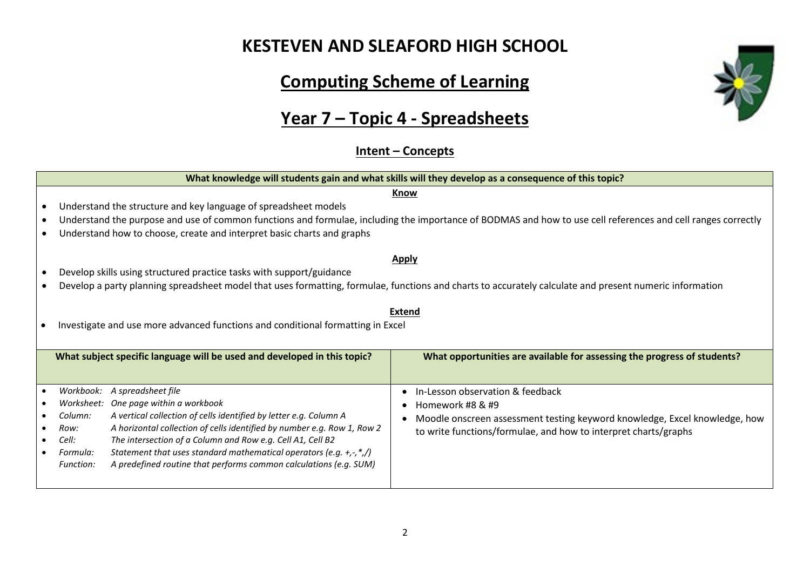### **KESTEVEN AND SLEAFORD HIGH SCHOOL**

# **Computing Scheme of Learning**

# **Year 7 – Topic 4 - Spreadsheets**

**Intent – Concepts**



2